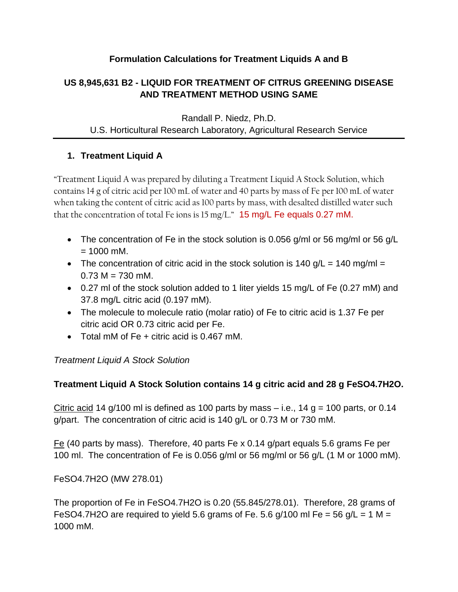#### **Formulation Calculations for Treatment Liquids A and B**

### **US 8,945,631 B2 - LIQUID FOR TREATMENT OF CITRUS GREENING DISEASE AND TREATMENT METHOD USING SAME**

Randall P. Niedz, Ph.D. U.S. Horticultural Research Laboratory, Agricultural Research Service

#### **1. Treatment Liquid A**

"Treatment Liquid A was prepared by diluting a Treatment Liquid A Stock Solution, which contains 14 g of citric acid per 100 mL of water and 40 parts by mass of Fe per 100 mL of water when taking the content of citric acid as 100 parts by mass, with desalted distilled water such that the concentration of total Fe ions is 15 mg/L." 15 mg/L Fe equals 0.27 mM.

- The concentration of Fe in the stock solution is 0.056 g/ml or 56 mg/ml or 56 g/L  $= 1000$  mM.
- The concentration of citric acid in the stock solution is  $140 \text{ g/L} = 140 \text{ mg/ml} =$  $0.73 M = 730 mM$ .
- 0.27 ml of the stock solution added to 1 liter yields 15 mg/L of Fe (0.27 mM) and 37.8 mg/L citric acid (0.197 mM).
- The molecule to molecule ratio (molar ratio) of Fe to citric acid is 1.37 Fe per citric acid OR 0.73 citric acid per Fe.
- Total mM of Fe + citric acid is 0.467 mM.

*Treatment Liquid A Stock Solution*

### **Treatment Liquid A Stock Solution contains 14 g citric acid and 28 g FeSO4.7H2O.**

Citric acid 14 g/100 ml is defined as 100 parts by mass  $-$  i.e., 14 g = 100 parts, or 0.14 g/part. The concentration of citric acid is 140 g/L or 0.73 M or 730 mM.

Fe (40 parts by mass). Therefore, 40 parts Fe x 0.14 g/part equals 5.6 grams Fe per 100 ml. The concentration of Fe is 0.056 g/ml or 56 mg/ml or 56 g/L (1 M or 1000 mM).

FeSO4.7H2O (MW 278.01)

The proportion of Fe in FeSO4.7H2O is 0.20 (55.845/278.01). Therefore, 28 grams of FeSO4.7H2O are required to yield 5.6 grams of Fe. 5.6 g/100 ml Fe = 56 g/L = 1 M = 1000 mM.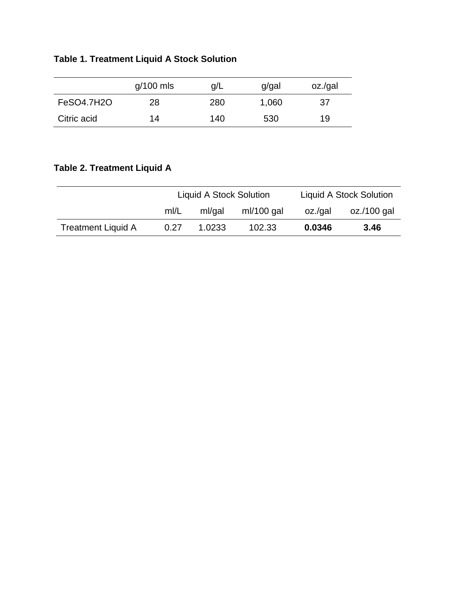**Table 1. Treatment Liquid A Stock Solution**

|             | $g/100$ mls | g/L | g/gal | oz./gal |
|-------------|-------------|-----|-------|---------|
| FeSO4.7H2O  | 28          | 280 | 1,060 | 37      |
| Citric acid | 14          | 140 | 530   | 19      |

# **Table 2. Treatment Liquid A**

|                           | <b>Liquid A Stock Solution</b> |        |              | <b>Liquid A Stock Solution</b> |             |
|---------------------------|--------------------------------|--------|--------------|--------------------------------|-------------|
|                           | m/L                            | ml/gal | $ml/100$ gal | oz./gal                        | oz./100 gal |
| <b>Treatment Liquid A</b> | 0.27                           | 1.0233 | 102.33       | 0.0346                         | 3.46        |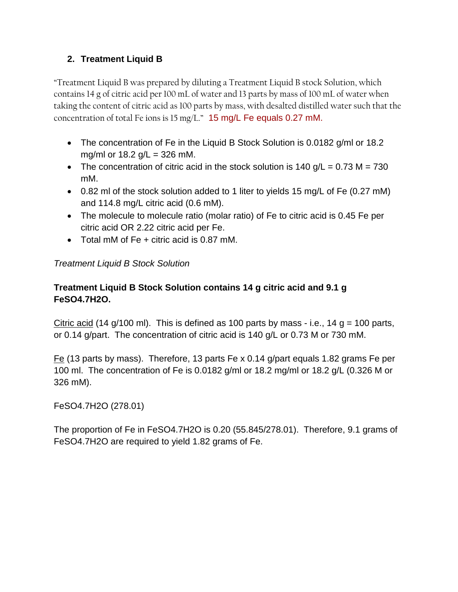#### **2. Treatment Liquid B**

"Treatment Liquid B was prepared by diluting a Treatment Liquid B stock Solution, which contains 14 g of citric acid per 100 mL of water and 13 parts by mass of 100 mL of water when taking the content of citric acid as 100 parts by mass, with desalted distilled water such that the concentration of total Fe ions is 15 mg/L." 15 mg/L Fe equals 0.27 mM.

- The concentration of Fe in the Liquid B Stock Solution is 0.0182 g/ml or 18.2 mg/ml or  $18.2$  g/L = 326 mM.
- The concentration of citric acid in the stock solution is  $140$  g/L = 0.73 M = 730 mM.
- 0.82 ml of the stock solution added to 1 liter to yields 15 mg/L of Fe (0.27 mM) and 114.8 mg/L citric acid (0.6 mM).
- The molecule to molecule ratio (molar ratio) of Fe to citric acid is 0.45 Fe per citric acid OR 2.22 citric acid per Fe.
- Total mM of  $Fe +$  citric acid is 0.87 mM.

#### *Treatment Liquid B Stock Solution*

#### **Treatment Liquid B Stock Solution contains 14 g citric acid and 9.1 g FeSO4.7H2O.**

Citric acid (14 g/100 ml). This is defined as 100 parts by mass - i.e., 14 g = 100 parts, or 0.14 g/part. The concentration of citric acid is 140 g/L or 0.73 M or 730 mM.

Fe (13 parts by mass). Therefore, 13 parts Fe x 0.14 g/part equals 1.82 grams Fe per 100 ml. The concentration of Fe is 0.0182 g/ml or 18.2 mg/ml or 18.2 g/L (0.326 M or 326 mM).

#### FeSO4.7H2O (278.01)

The proportion of Fe in FeSO4.7H2O is 0.20 (55.845/278.01). Therefore, 9.1 grams of FeSO4.7H2O are required to yield 1.82 grams of Fe.